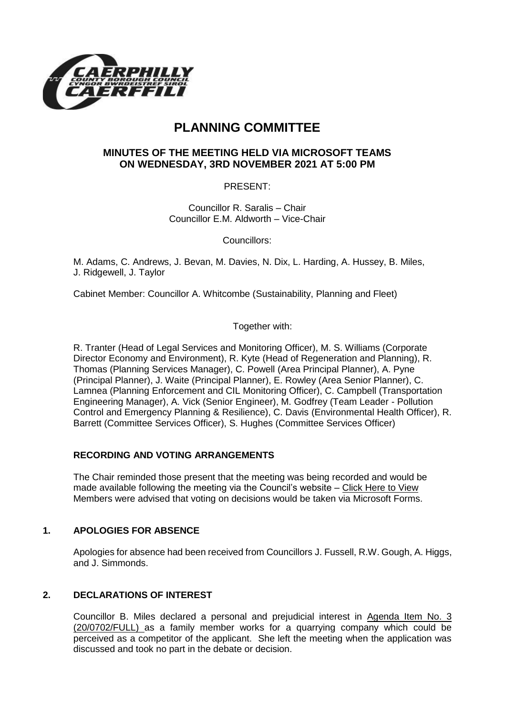

# **PLANNING COMMITTEE**

## **MINUTES OF THE MEETING HELD VIA MICROSOFT TEAMS ON WEDNESDAY, 3RD NOVEMBER 2021 AT 5:00 PM**

PRESENT:

Councillor R. Saralis – Chair Councillor E.M. Aldworth – Vice-Chair

Councillors:

M. Adams, C. Andrews, J. Bevan, M. Davies, N. Dix, L. Harding, A. Hussey, B. Miles, J. Ridgewell, J. Taylor

Cabinet Member: Councillor A. Whitcombe (Sustainability, Planning and Fleet)

Together with:

R. Tranter (Head of Legal Services and Monitoring Officer), M. S. Williams (Corporate Director Economy and Environment), R. Kyte (Head of Regeneration and Planning), R. Thomas (Planning Services Manager), C. Powell (Area Principal Planner), A. Pyne (Principal Planner), J. Waite (Principal Planner), E. Rowley (Area Senior Planner), C. Lamnea (Planning Enforcement and CIL Monitoring Officer), C. Campbell (Transportation Engineering Manager), A. Vick (Senior Engineer), M. Godfrey (Team Leader - Pollution Control and Emergency Planning & Resilience), C. Davis (Environmental Health Officer), R. Barrett (Committee Services Officer), S. Hughes (Committee Services Officer)

# **RECORDING AND VOTING ARRANGEMENTS**

The Chair reminded those present that the meeting was being recorded and would be made available following the meeting via the Council's website – [Click Here to View](https://www.caerphilly.gov.uk/My-Council/Meetings,-agendas,-minutes-and-reports/Council-meetings?lang=en-GB) Members were advised that voting on decisions would be taken via Microsoft Forms.

### **1. APOLOGIES FOR ABSENCE**

Apologies for absence had been received from Councillors J. Fussell, R.W. Gough, A. Higgs, and J. Simmonds.

### **2. DECLARATIONS OF INTEREST**

Councillor B. Miles declared a personal and prejudicial interest in Agenda Item No. 3 (20/0702/FULL) as a family member works for a quarrying company which could be perceived as a competitor of the applicant. She left the meeting when the application was discussed and took no part in the debate or decision.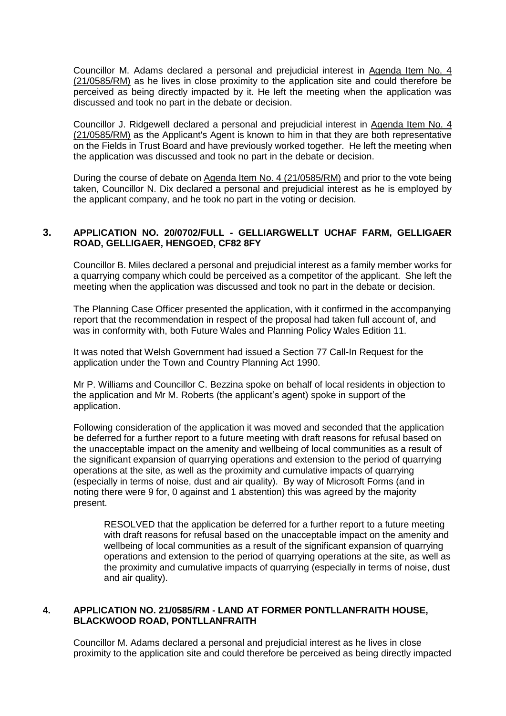Councillor M. Adams declared a personal and prejudicial interest in Agenda Item No. 4 (21/0585/RM) as he lives in close proximity to the application site and could therefore be perceived as being directly impacted by it. He left the meeting when the application was discussed and took no part in the debate or decision.

Councillor J. Ridgewell declared a personal and prejudicial interest in Agenda Item No. 4 (21/0585/RM) as the Applicant's Agent is known to him in that they are both representative on the Fields in Trust Board and have previously worked together. He left the meeting when the application was discussed and took no part in the debate or decision.

During the course of debate on Agenda Item No. 4 (21/0585/RM) and prior to the vote being taken, Councillor N. Dix declared a personal and prejudicial interest as he is employed by the applicant company, and he took no part in the voting or decision.

## **3. APPLICATION NO. 20/0702/FULL - GELLIARGWELLT UCHAF FARM, GELLIGAER ROAD, GELLIGAER, HENGOED, CF82 8FY**

Councillor B. Miles declared a personal and prejudicial interest as a family member works for a quarrying company which could be perceived as a competitor of the applicant. She left the meeting when the application was discussed and took no part in the debate or decision.

The Planning Case Officer presented the application, with it confirmed in the accompanying report that the recommendation in respect of the proposal had taken full account of, and was in conformity with, both Future Wales and Planning Policy Wales Edition 11.

It was noted that Welsh Government had issued a Section 77 Call-In Request for the application under the Town and Country Planning Act 1990.

Mr P. Williams and Councillor C. Bezzina spoke on behalf of local residents in objection to the application and Mr M. Roberts (the applicant's agent) spoke in support of the application.

Following consideration of the application it was moved and seconded that the application be deferred for a further report to a future meeting with draft reasons for refusal based on the unacceptable impact on the amenity and wellbeing of local communities as a result of the significant expansion of quarrying operations and extension to the period of quarrying operations at the site, as well as the proximity and cumulative impacts of quarrying (especially in terms of noise, dust and air quality). By way of Microsoft Forms (and in noting there were 9 for, 0 against and 1 abstention) this was agreed by the majority present.

RESOLVED that the application be deferred for a further report to a future meeting with draft reasons for refusal based on the unacceptable impact on the amenity and wellbeing of local communities as a result of the significant expansion of quarrying operations and extension to the period of quarrying operations at the site, as well as the proximity and cumulative impacts of quarrying (especially in terms of noise, dust and air quality).

### **4. APPLICATION NO. 21/0585/RM - LAND AT FORMER PONTLLANFRAITH HOUSE, BLACKWOOD ROAD, PONTLLANFRAITH**

Councillor M. Adams declared a personal and prejudicial interest as he lives in close proximity to the application site and could therefore be perceived as being directly impacted